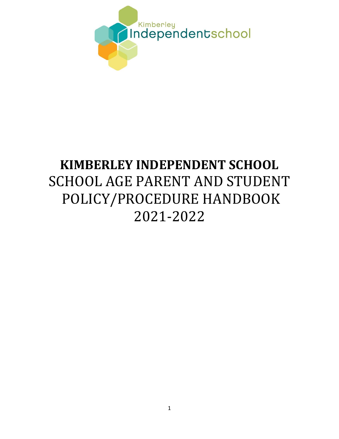

# **KIMBERLEY INDEPENDENT SCHOOL** SCHOOL AGE PARENT AND STUDENT POLICY/PROCEDURE HANDBOOK 2021-2022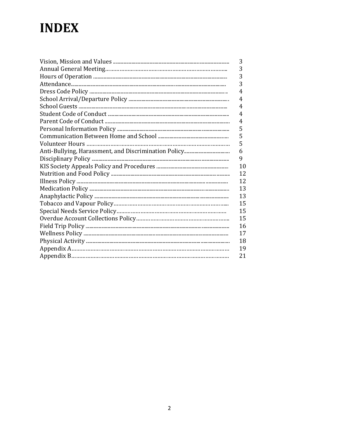# **INDEX**

| 3  |
|----|
| 3  |
| 3  |
| 3  |
| 4  |
| 4  |
| 4  |
| 4  |
| 4  |
| 5  |
| 5  |
| 5  |
| 6  |
| 9  |
| 10 |
| 12 |
| 12 |
| 13 |
| 13 |
| 15 |
| 15 |
| 15 |
| 16 |
| 17 |
| 18 |
| 19 |
| 21 |
|    |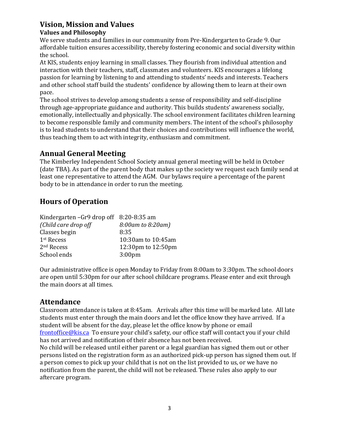### **Vision, Mission and Values**

### **Values and Philosophy**

We serve students and families in our community from Pre-Kindergarten to Grade 9. Our affordable tuition ensures accessibility, thereby fostering economic and social diversity within the school.

At KIS, students enjoy learning in small classes. They flourish from individual attention and interaction with their teachers, staff, classmates and volunteers. KIS encourages a lifelong passion for learning by listening to and attending to students' needs and interests. Teachers and other school staff build the students' confidence by allowing them to learn at their own pace.

The school strives to develop among students a sense of responsibility and self-discipline through age-appropriate guidance and authority. This builds students' awareness socially, emotionally, intellectually and physically. The school environment facilitates children learning to become responsible family and community members. The intent of the school's philosophy is to lead students to understand that their choices and contributions will influence the world, thus teaching them to act with integrity, enthusiasm and commitment.

# **Annual General Meeting**

The Kimberley Independent School Society annual general meeting will be held in October (date TBA). As part of the parent body that makes up the society we request each family send at least one representative to attend the AGM. Our bylaws require a percentage of the parent body to be in attendance in order to run the meeting.

# **Hours of Operation**

| Kindergarten - Gr9 drop off 8:20-8:35 am |
|------------------------------------------|
| 8:00am to 8:20am)                        |
| 8:35                                     |
| 10:30am to 10:45am                       |
| 12:30pm to 12:50pm                       |
| 3:00 <sub>pm</sub>                       |
|                                          |

Our administrative office is open Monday to Friday from 8:00am to 3:30pm. The school doors are open until 5:30pm for our after school childcare programs. Please enter and exit through the main doors at all times.

### **Attendance**

Classroom attendance is taken at 8:45am. Arrivals after this time will be marked late. All late students must enter through the main doors and let the office know they have arrived. If a student will be absent for the day, please let the office know by phone or email [frontoffice@kis.ca](mailto:frontoffice@kis.ca) To ensure your child's safety, our office staff will contact you if your child has not arrived and notification of their absence has not been received.

No child will be released until either parent or a legal guardian has signed them out or other persons listed on the registration form as an authorized pick-up person has signed them out. If a person comes to pick up your child that is not on the list provided to us, or we have no notification from the parent, the child will not be released. These rules also apply to our aftercare program.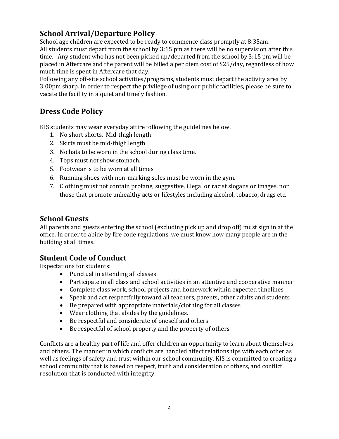# **School Arrival/Departure Policy**

School age children are expected to be ready to commence class promptly at 8:35am. All students must depart from the school by 3:15 pm as there will be no supervision after this time. Any student who has not been picked up/departed from the school by 3:15 pm will be placed in Aftercare and the parent will be billed a per diem cost of \$25/day, regardless of how much time is spent in Aftercare that day.

Following any off-site school activities/programs, students must depart the activity area by 3:00pm sharp. In order to respect the privilege of using our public facilities, please be sure to vacate the facility in a quiet and timely fashion.

# **Dress Code Policy**

KIS students may wear everyday attire following the guidelines below.

- 1. No short shorts. Mid-thigh length
- 2. Skirts must be mid-thigh length
- 3. No hats to be worn in the school during class time.
- 4. Tops must not show stomach.
- 5. Footwear is to be worn at all times
- 6. Running shoes with non-marking soles must be worn in the gym.
- 7. Clothing must not contain profane, suggestive, illegal or racist slogans or images, nor those that promote unhealthy acts or lifestyles including alcohol, tobacco, drugs etc.

### **School Guests**

All parents and guests entering the school (excluding pick up and drop off) must sign in at the office. In order to abide by fire code regulations, we must know how many people are in the building at all times.

### **Student Code of Conduct**

Expectations for students:

- Punctual in attending all classes
- Participate in all class and school activities in an attentive and cooperative manner
- Complete class work, school projects and homework within expected timelines
- Speak and act respectfully toward all teachers, parents, other adults and students
- Be prepared with appropriate materials/clothing for all classes
- Wear clothing that abides by the guidelines.
- Be respectful and considerate of oneself and others
- Be respectful of school property and the property of others

Conflicts are a healthy part of life and offer children an opportunity to learn about themselves and others. The manner in which conflicts are handled affect relationships with each other as well as feelings of safety and trust within our school community. KIS is committed to creating a school community that is based on respect, truth and consideration of others, and conflict resolution that is conducted with integrity.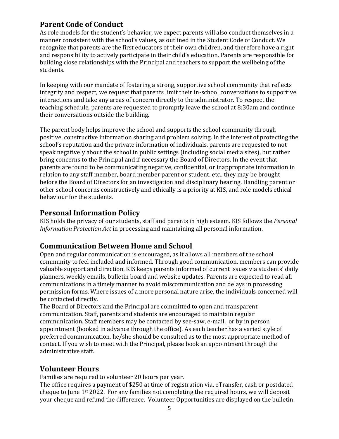### **Parent Code of Conduct**

As role models for the student's behavior, we expect parents will also conduct themselves in a manner consistent with the school's values, as outlined in the Student Code of Conduct. We recognize that parents are the first educators of their own children, and therefore have a right and responsibility to actively participate in their child's education. Parents are responsible for building close relationships with the Principal and teachers to support the wellbeing of the students.

In keeping with our mandate of fostering a strong, supportive school community that reflects integrity and respect, we request that parents limit their in-school conversations to supportive interactions and take any areas of concern directly to the administrator. To respect the teaching schedule, parents are requested to promptly leave the school at 8:30am and continue their conversations outside the building.

The parent body helps improve the school and supports the school community through positive, constructive information sharing and problem solving. In the interest of protecting the school's reputation and the private information of individuals, parents are requested to not speak negatively about the school in public settings (including social media sites), but rather bring concerns to the Principal and if necessary the Board of Directors. In the event that parents are found to be communicating negative, confidential, or inappropriate information in relation to any staff member, board member parent or student, etc., they may be brought before the Board of Directors for an investigation and disciplinary hearing. Handling parent or other school concerns constructively and ethically is a priority at KIS, and role models ethical behaviour for the students.

### **Personal Information Policy**

KIS holds the privacy of our students, staff and parents in high esteem. KIS follows the *Personal Information Protection Act* in processing and maintaining all personal information.

### **Communication Between Home and School**

Open and regular communication is encouraged, as it allows all members of the school community to feel included and informed. Through good communication, members can provide valuable support and direction. KIS keeps parents informed of current issues via students' daily planners, weekly emails, bulletin board and website updates. Parents are expected to read all communications in a timely manner to avoid miscommunication and delays in processing permission forms. Where issues of a more personal nature arise, the individuals concerned will be contacted directly.

The Board of Directors and the Principal are committed to open and transparent communication. Staff, parents and students are encouraged to maintain regular communication. Staff members may be contacted by see-saw, e-mail, or by in person appointment (booked in advance through the office). As each teacher has a varied style of preferred communication, he/she should be consulted as to the most appropriate method of contact. If you wish to meet with the Principal, please book an appointment through the administrative staff.

# **Volunteer Hours**

Families are required to volunteer 20 hours per year.

The office requires a payment of \$250 at time of registration via, eTransfer, cash or postdated cheque to June 1st 2022. For any families not completing the required hours, we will deposit your cheque and refund the difference. Volunteer Opportunities are displayed on the bulletin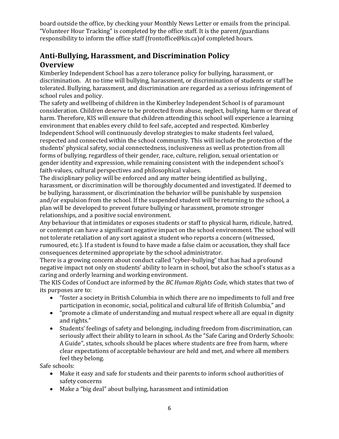board outside the office, by checking your Monthly News Letter or emails from the principal. "Volunteer Hour Tracking" is completed by the office staff. It is the parent/guardians responsibility to inform the office staff (frontoffice@kis.ca)of completed hours.

# **Anti-Bullying, Harassment, and Discrimination Policy Overview**

Kimberley Independent School has a zero tolerance policy for bullying, harassment, or discrimination. At no time will bullying, harassment, or discrimination of students or staff be tolerated. Bullying, harassment, and discrimination are regarded as a serious infringement of school rules and policy.

The safety and wellbeing of children in the Kimberley Independent School is of paramount consideration. Children deserve to be protected from abuse, neglect, bullying, harm or threat of harm. Therefore, KIS will ensure that children attending this school will experience a learning environment that enables every child to feel safe, accepted and respected. Kimberley Independent School will continuously develop strategies to make students feel valued, respected and connected within the school community. This will include the protection of the students' physical safety, social connectedness, inclusiveness as well as protection from all forms of bullying, regardless of their gender, race, culture, religion, sexual orientation or gender identity and expression, while remaining consistent with the independent school's faith-values, cultural perspectives and philosophical values.

The disciplinary policy will be enforced and any matter being identified as bullying , harassment, or discrimination will be thoroughly documented and investigated. If deemed to be bullying, harassment, or discrimination the behavior will be punishable by suspension and/or expulsion from the school. If the suspended student will be returning to the school, a plan will be developed to prevent future bullying or harassment, promote stronger relationships, and a positive social environment.

Any behaviour that intimidates or exposes students or staff to physical harm, ridicule, hatred, or contempt can have a significant negative impact on the school environment. The school will not tolerate retaliation of any sort against a student who reports a concern (witnessed, rumoured, etc.). If a student is found to have made a false claim or accusation, they shall face consequences determined appropriate by the school administrator.

There is a growing concern about conduct called "cyber-bullying" that has had a profound negative impact not only on students' ability to learn in school, but also the school's status as a caring and orderly learning and working environment.

The KIS Codes of Conduct are informed by the *BC Human Rights Code*, which states that two of its purposes are to:

- "foster a society in British Columbia in which there are no impediments to full and free participation in economic, social, political and cultural life of British Columbia," and
- "promote a climate of understanding and mutual respect where all are equal in dignity and rights."
- Students' feelings of safety and belonging, including freedom from discrimination, can seriously affect their ability to learn in school. As the "Safe Caring and Orderly Schools: A Guide", states, schools should be places where students are free from harm, where clear expectations of acceptable behaviour are held and met, and where all members feel they belong.

Safe schools:

- Make it easy and safe for students and their parents to inform school authorities of safety concerns
- Make a "big deal" about bullying, harassment and intimidation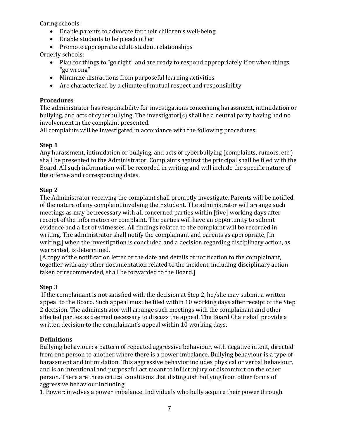Caring schools:

- Enable parents to advocate for their children's well-being
- Enable students to help each other

• Promote appropriate adult-student relationships

Orderly schools:

- Plan for things to "go right" and are ready to respond appropriately if or when things "go wrong"
- Minimize distractions from purposeful learning activities
- Are characterized by a climate of mutual respect and responsibility

### **Procedures**

The administrator has responsibility for investigations concerning harassment, intimidation or bullying, and acts of cyberbullying. The investigator(s) shall be a neutral party having had no involvement in the complaint presented.

All complaints will be investigated in accordance with the following procedures:

### **Step 1**

Any harassment, intimidation or bullying, and acts of cyberbullying (complaints, rumors, etc.) shall be presented to the Administrator. Complaints against the principal shall be filed with the Board. All such information will be recorded in writing and will include the specific nature of the offense and corresponding dates.

### **Step 2**

The Administrator receiving the complaint shall promptly investigate. Parents will be notified of the nature of any complaint involving their student. The administrator will arrange such meetings as may be necessary with all concerned parties within [five] working days after receipt of the information or complaint. The parties will have an opportunity to submit evidence and a list of witnesses. All findings related to the complaint will be recorded in writing. The administrator shall notify the complainant and parents as appropriate, [in writing,] when the investigation is concluded and a decision regarding disciplinary action, as warranted, is determined.

[A copy of the notification letter or the date and details of notification to the complainant, together with any other documentation related to the incident, including disciplinary action taken or recommended, shall be forwarded to the Board.]

### **Step 3**

If the complainant is not satisfied with the decision at Step 2, he/she may submit a written appeal to the Board. Such appeal must be filed within 10 working days after receipt of the Step 2 decision. The administrator will arrange such meetings with the complainant and other affected parties as deemed necessary to discuss the appeal. The Board Chair shall provide a written decision to the complainant's appeal within 10 working days.

### **Definitions**

Bullying behaviour: a pattern of repeated aggressive behaviour, with negative intent, directed from one person to another where there is a power imbalance. Bullying behaviour is a type of harassment and intimidation. This aggressive behavior includes physical or verbal behaviour, and is an intentional and purposeful act meant to inflict injury or discomfort on the other person. There are three critical conditions that distinguish bullying from other forms of aggressive behaviour including:

1. Power: involves a power imbalance. Individuals who bully acquire their power through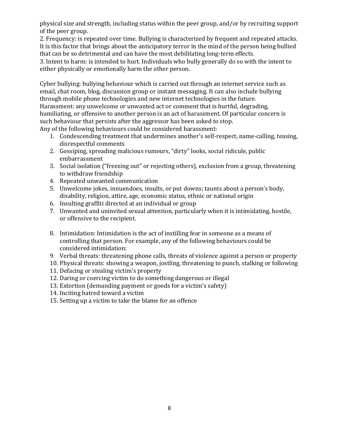physical size and strength, including status within the peer group, and/or by recruiting support of the peer group.

2. Frequency: is repeated over time. Bullying is characterized by frequent and repeated attacks. It is this factor that brings about the anticipatory terror in the mind of the person being bullied that can be so detrimental and can have the most debilitating long-term effects.

3. Intent to harm: is intended to hurt. Individuals who bully generally do so with the intent to either physically or emotionally harm the other person.

Cyber bullying: bullying behaviour which is carried out through an internet service such as email, chat room, blog, discussion group or instant messaging. It can also include bullying through mobile phone technologies and new internet technologies in the future. Harassment: any unwelcome or unwanted act or comment that is hurtful, degrading, humiliating, or offensive to another person is an act of harassment. Of particular concern is such behaviour that persists after the aggressor has been asked to stop. Any of the following behaviours could be considered harassment:

- 1. Condescending treatment that undermines another's self-respect, name-calling, teasing, disrespectful comments
- 2. Gossiping, spreading malicious rumours, "dirty" looks, social ridicule, public embarrassment
- 3. Social isolation ("freezing out" or rejecting others), exclusion from a group, threatening to withdraw friendship
- 4. Repeated unwanted communication
- 5. Unwelcome jokes, innuendoes, insults, or put downs; taunts about a person's body, disability, religion, attire, age, economic status, ethnic or national origin
- 6. Insulting graffiti directed at an individual or group
- 7. Unwanted and uninvited sexual attention, particularly when it is intimidating, hostile, or offensive to the recipient.
- 8. Intimidation: Intimidation is the act of instilling fear in someone as a means of controlling that person. For example, any of the following behaviours could be considered intimidation:
- 9. Verbal threats: threatening phone calls, threats of violence against a person or property
- 10. Physical threats: showing a weapon, jostling, threatening to punch, stalking or following
- 11. Defacing or stealing victim's property
- 12. Daring or coercing victim to do something dangerous or illegal
- 13. Extortion (demanding payment or goods for a victim's safety)
- 14. Inciting hatred toward a victim
- 15. Setting up a victim to take the blame for an offence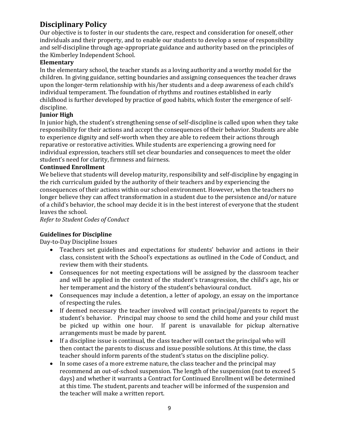# **Disciplinary Policy**

Our objective is to foster in our students the care, respect and consideration for oneself, other individuals and their property, and to enable our students to develop a sense of responsibility and self-discipline through age-appropriate guidance and authority based on the principles of the Kimberley Independent School.

#### **Elementary**

In the elementary school, the teacher stands as a loving authority and a worthy model for the children. In giving guidance, setting boundaries and assigning consequences the teacher draws upon the longer-term relationship with his/her students and a deep awareness of each child's individual temperament. The foundation of rhythms and routines established in early childhood is further developed by practice of good habits, which foster the emergence of selfdiscipline.

### **Junior High**

In junior high, the student's strengthening sense of self-discipline is called upon when they take responsibility for their actions and accept the consequences of their behavior. Students are able to experience dignity and self-worth when they are able to redeem their actions through reparative or restorative activities. While students are experiencing a growing need for individual expression, teachers still set clear boundaries and consequences to meet the older student's need for clarity, firmness and fairness.

#### **Continued Enrollment**

We believe that students will develop maturity, responsibility and self-discipline by engaging in the rich curriculum guided by the authority of their teachers and by experiencing the consequences of their actions within our school environment. However, when the teachers no longer believe they can affect transformation in a student due to the persistence and/or nature of a child's behavior, the school may decide it is in the best interest of everyone that the student leaves the school.

*Refer to Student Codes of Conduct* 

### **Guidelines for Discipline**

Day-to-Day Discipline Issues

- Teachers set guidelines and expectations for students' behavior and actions in their class, consistent with the School's expectations as outlined in the Code of Conduct, and review them with their students.
- Consequences for not meeting expectations will be assigned by the classroom teacher and will be applied in the context of the student's transgression, the child's age, his or her temperament and the history of the student's behavioural conduct.
- Consequences may include a detention, a letter of apology, an essay on the importance of respecting the rules.
- If deemed necessary the teacher involved will contact principal/parents to report the student's behavior. Principal may choose to send the child home and your child must be picked up within one hour. If parent is unavailable for pickup alternative arrangements must be made by parent.
- If a discipline issue is continual, the class teacher will contact the principal who will then contact the parents to discuss and issue possible solutions. At this time, the class teacher should inform parents of the student's status on the discipline policy.
- In some cases of a more extreme nature, the class teacher and the principal may recommend an out-of-school suspension. The length of the suspension (not to exceed 5 days) and whether it warrants a Contract for Continued Enrollment will be determined at this time. The student, parents and teacher will be informed of the suspension and the teacher will make a written report.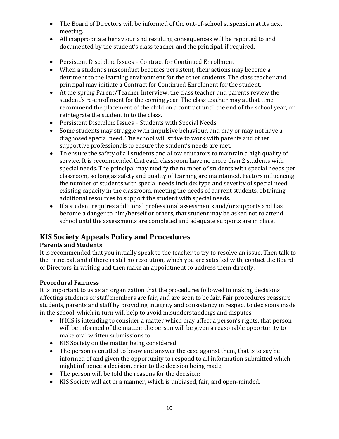- The Board of Directors will be informed of the out-of-school suspension at its next meeting.
- All inappropriate behaviour and resulting consequences will be reported to and documented by the student's class teacher and the principal, if required.
- Persistent Discipline Issues Contract for Continued Enrollment
- When a student's misconduct becomes persistent, their actions may become a detriment to the learning environment for the other students. The class teacher and principal may initiate a Contract for Continued Enrollment for the student.
- At the spring Parent/Teacher Interview, the class teacher and parents review the student's re-enrollment for the coming year. The class teacher may at that time recommend the placement of the child on a contract until the end of the school year, or reintegrate the student in to the class.
- Persistent Discipline Issues Students with Special Needs
- Some students may struggle with impulsive behaviour, and may or may not have a diagnosed special need. The school will strive to work with parents and other supportive professionals to ensure the student's needs are met.
- To ensure the safety of all students and allow educators to maintain a high quality of service. It is recommended that each classroom have no more than 2 students with special needs. The principal may modify the number of students with special needs per classroom, so long as safety and quality of learning are maintained. Factors influencing the number of students with special needs include: type and severity of special need, existing capacity in the classroom, meeting the needs of current students, obtaining additional resources to support the student with special needs.
- If a student requires additional professional assessments and/or supports and has become a danger to him/herself or others, that student may be asked not to attend school until the assessments are completed and adequate supports are in place.

# **KIS Society Appeals Policy and Procedures**

### **Parents and Students**

It is recommended that you initially speak to the teacher to try to resolve an issue. Then talk to the Principal, and if there is still no resolution, which you are satisfied with, contact the Board of Directors in writing and then make an appointment to address them directly.

### **Procedural Fairness**

It is important to us as an organization that the procedures followed in making decisions affecting students or staff members are fair, and are seen to be fair. Fair procedures reassure students, parents and staff by providing integrity and consistency in respect to decisions made in the school, which in turn will help to avoid misunderstandings and disputes.

- If KIS is intending to consider a matter which may affect a person's rights, that person will be informed of the matter: the person will be given a reasonable opportunity to make oral written submissions to:
- KIS Society on the matter being considered;
- The person is entitled to know and answer the case against them, that is to say be informed of and given the opportunity to respond to all information submitted which might influence a decision, prior to the decision being made;
- The person will be told the reasons for the decision;
- KIS Society will act in a manner, which is unbiased, fair, and open-minded.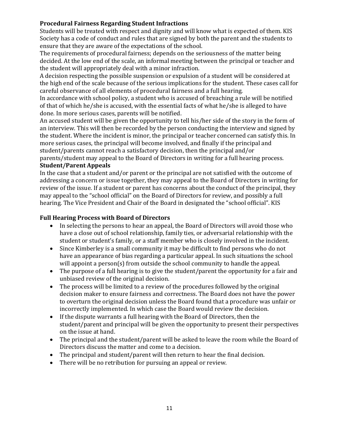### **Procedural Fairness Regarding Student Infractions**

Students will be treated with respect and dignity and will know what is expected of them. KIS Society has a code of conduct and rules that are signed by both the parent and the students to ensure that they are aware of the expectations of the school.

The requirements of procedural fairness; depends on the seriousness of the matter being decided. At the low end of the scale, an informal meeting between the principal or teacher and the student will appropriately deal with a minor infraction.

A decision respecting the possible suspension or expulsion of a student will be considered at the high end of the scale because of the serious implications for the student. These cases call for careful observance of all elements of procedural fairness and a full hearing.

In accordance with school policy, a student who is accused of breaching a rule will be notified of that of which he/she is accused, with the essential facts of what he/she is alleged to have done. In more serious cases, parents will be notified.

An accused student will be given the opportunity to tell his/her side of the story in the form of an interview. This will then be recorded by the person conducting the interview and signed by the student. Where the incident is minor, the principal or teacher concerned can satisfy this. In more serious cases, the principal will become involved, and finally if the principal and student/parents cannot reach a satisfactory decision, then the principal and/or

parents/student may appeal to the Board of Directors in writing for a full hearing process. **Student/Parent Appeals** 

In the case that a student and/or parent or the principal are not satisfied with the outcome of addressing a concern or issue together, they may appeal to the Board of Directors in writing for review of the issue. If a student or parent has concerns about the conduct of the principal, they may appeal to the "school official" on the Board of Directors for review, and possibly a full hearing. The Vice President and Chair of the Board in designated the "school official". KIS

### **Full Hearing Process with Board of Directors**

- In selecting the persons to hear an appeal, the Board of Directors will avoid those who have a close out of school relationship, family ties, or adversarial relationship with the student or student's family, or a staff member who is closely involved in the incident.
- Since Kimberley is a small community it may be difficult to find persons who do not have an appearance of bias regarding a particular appeal. In such situations the school will appoint a person(s) from outside the school community to handle the appeal.
- The purpose of a full hearing is to give the student/parent the opportunity for a fair and unbiased review of the original decision.
- The process will be limited to a review of the procedures followed by the original decision maker to ensure fairness and correctness. The Board does not have the power to overturn the original decision unless the Board found that a procedure was unfair or incorrectly implemented. In which case the Board would review the decision.
- If the dispute warrants a full hearing with the Board of Directors, then the student/parent and principal will be given the opportunity to present their perspectives on the issue at hand.
- The principal and the student/parent will be asked to leave the room while the Board of Directors discuss the matter and come to a decision.
- The principal and student/parent will then return to hear the final decision.
- There will be no retribution for pursuing an appeal or review.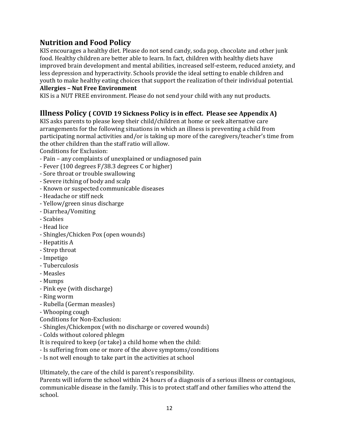### **Nutrition and Food Policy**

KIS encourages a healthy diet. Please do not send candy, soda pop, chocolate and other junk food. Healthy children are better able to learn. In fact, children with healthy diets have improved brain development and mental abilities, increased self-esteem, reduced anxiety, and less depression and hyperactivity. Schools provide the ideal setting to enable children and youth to make healthy eating choices that support the realization of their individual potential.

#### **Allergies – Nut Free Environment**

KIS is a NUT FREE environment. Please do not send your child with any nut products.

### **Illness Policy ( COVID 19 Sickness Policy is in effect. Please see Appendix A)**

KIS asks parents to please keep their child/children at home or seek alternative care arrangements for the following situations in which an illness is preventing a child from participating normal activities and/or is taking up more of the caregivers/teacher's time from the other children than the staff ratio will allow.

Conditions for Exclusion:

- Pain any complaints of unexplained or undiagnosed pain
- Fever (100 degrees F/38.3 degrees C or higher)
- Sore throat or trouble swallowing
- Severe itching of body and scalp
- Known or suspected communicable diseases
- Headache or stiff neck
- Yellow/green sinus discharge
- Diarrhea/Vomiting
- Scabies
- Head lice
- Shingles/Chicken Pox (open wounds)
- Hepatitis A
- Strep throat
- Impetigo
- Tuberculosis
- Measles
- Mumps
- Pink eye (with discharge)
- Ring worm
- Rubella (German measles)
- Whooping cough
- Conditions for Non-Exclusion:
- Shingles/Chickenpox (with no discharge or covered wounds)
- Colds without colored phlegm
- It is required to keep (or take) a child home when the child:
- Is suffering from one or more of the above symptoms/conditions
- Is not well enough to take part in the activities at school

Ultimately, the care of the child is parent's responsibility.

Parents will inform the school within 24 hours of a diagnosis of a serious illness or contagious, communicable disease in the family. This is to protect staff and other families who attend the school.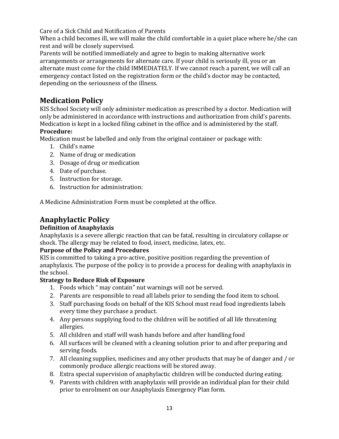Care of a Sick Child and Notification of Parents

When a child becomes ill, we will make the child comfortable in a quiet place where he/she can rest and will be closely supervised.

Parents will be notified immediately and agree to begin to making alternative work arrangements or arrangements for alternate care. If your child is seriously ill, you or an alternate must come for the child IMMEDIATELY. If we cannot reach a parent, we will call an emergency contact listed on the registration form or the child's doctor may be contacted, depending on the seriousness of the illness.

### **Medication Policy**

KIS School Society will only administer medication as prescribed by a doctor. Medication will only be administered in accordance with instructions and authorization from child's parents. Medication is kept in a locked filing cabinet in the office and is administered by the staff.

### **Procedure:**

Medication must be labelled and only from the original container or package with:

- 1. Child's name
- 2. Name of drug or medication
- 3. Dosage of drug or medication
- 4. Date of purchase.
- 5. Instruction for storage.
- 6. Instruction for administration:

A Medicine Administration Form must be completed at the office.

# **Anaphylactic Policy**

### **Definition of Anaphylaxis**

Anaphylaxis is a severe allergic reaction that can be fatal, resulting in circulatory collapse or shock. The allergy may be related to food, insect, medicine, latex, etc.

### **Purpose of the Policy and Procedures**

KIS is committed to taking a pro-active, positive position regarding the prevention of anaphylaxis. The purpose of the policy is to provide a process for dealing with anaphylaxis in the school.

### **Strategy to Reduce Risk of Exposure**

- 1. Foods which " may contain" nut warnings will not be served.
- 2. Parents are responsible to read all labels prior to sending the food item to school.
- 3. Staff purchasing foods on behalf of the KIS School must read food ingredients labels every time they purchase a product.
- 4. Any persons supplying food to the children will be notified of all life threatening allergies.
- 5. All children and staff will wash hands before and after handling food
- 6. All surfaces will be cleaned with a cleaning solution prior to and after preparing and serving foods.
- 7. All cleaning supplies, medicines and any other products that may be of danger and / or commonly produce allergic reactions will be stored away.
- 8. Extra special supervision of anaphylactic children will be conducted during eating.
- 9. Parents with children with anaphylaxis will provide an individual plan for their child prior to enrolment on our Anaphylaxis Emergency Plan form.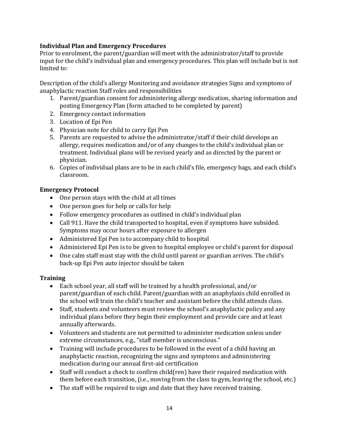### **Individual Plan and Emergency Procedures**

Prior to enrolment, the parent/guardian will meet with the administrator/staff to provide input for the child's individual plan and emergency procedures. This plan will include but is not limited to:

Description of the child's allergy Monitoring and avoidance strategies Signs and symptoms of anaphylactic reaction Staff roles and responsibilities

- 1. Parent/guardian consent for administering allergy medication, sharing information and posting Emergency Plan (form attached to be completed by parent)
- 2. Emergency contact information
- 3. Location of Epi Pen
- 4. Physician note for child to carry Epi Pen
- 5. Parents are requested to advise the administrator/staff if their child develops an allergy, requires medication and/or of any changes to the child's individual plan or treatment. Individual plans will be revised yearly and as directed by the parent or physician.
- 6. Copies of individual plans are to be in each child's file, emergency bags, and each child's classroom.

### **Emergency Protocol**

- One person stays with the child at all times
- One person goes for help or calls for help
- Follow emergency procedures as outlined in child's individual plan
- Call 911. Have the child transported to hospital, even if symptoms have subsided. Symptoms may occur hours after exposure to allergen
- Administered Epi Pen is to accompany child to hospital
- Administered Epi Pen is to be given to hospital employee or child's parent for disposal
- One calm staff must stay with the child until parent or guardian arrives. The child's back-up Epi Pen auto injector should be taken

### **Training**

- Each school year, all staff will be trained by a health professional, and/or parent/guardian of each child. Parent/guardian with an anaphylaxis child enrolled in the school will train the child's teacher and assistant before the child attends class.
- Staff, students and volunteers must review the school's anaphylactic policy and any individual plans before they begin their employment and provide care and at least annually afterwards.
- Volunteers and students are not permitted to administer medication unless under extreme circumstances, e.g., "staff member is unconscious."
- Training will include procedures to be followed in the event of a child having an anaphylactic reaction, recognizing the signs and symptoms and administering medication during our annual first-aid certification
- Staff will conduct a check to confirm child(ren) have their required medication with them before each transition, (i.e., moving from the class to gym, leaving the school, etc.)
- The staff will be required to sign and date that they have received training.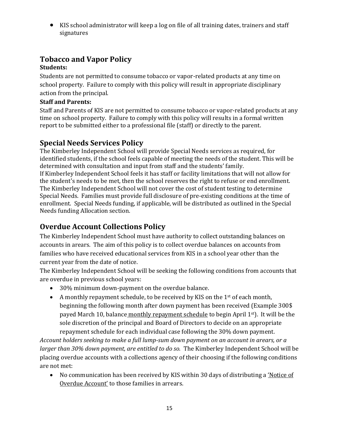KIS school administrator will keep a log on file of all training dates, trainers and staff signatures

# **Tobacco and Vapor Policy**

### **Students:**

Students are not permitted to consume tobacco or vapor-related products at any time on school property. Failure to comply with this policy will result in appropriate disciplinary action from the principal.

### **Staff and Parents:**

Staff and Parents of KIS are not permitted to consume tobacco or vapor-related products at any time on school property. Failure to comply with this policy will results in a formal written report to be submitted either to a professional file (staff) or directly to the parent.

# **Special Needs Services Policy**

The Kimberley Independent School will provide Special Needs services as required, for identified students, if the school feels capable of meeting the needs of the student. This will be determined with consultation and input from staff and the students' family. If Kimberley Independent School feels it has staff or facility limitations that will not allow for the student's needs to be met, then the school reserves the right to refuse or end enrollment. The Kimberley Independent School will not cover the cost of student testing to determine Special Needs. Families must provide full disclosure of pre-existing conditions at the time of enrollment. Special Needs funding, if applicable, will be distributed as outlined in the Special Needs funding Allocation section.

# **Overdue Account Collections Policy**

The Kimberley Independent School must have authority to collect outstanding balances on accounts in arears. The aim of this policy is to collect overdue balances on accounts from families who have received educational services from KIS in a school year other than the current year from the date of notice.

The Kimberley Independent School will be seeking the following conditions from accounts that are overdue in previous school years:

- 30% minimum down-payment on the overdue balance.
- A monthly repayment schedule, to be received by KIS on the  $1<sup>st</sup>$  of each month, beginning the following month after down payment has been received (Example 300\$ payed March 10, balance monthly repayment schedule to begin April 1st). It will be the sole discretion of the principal and Board of Directors to decide on an appropriate repayment schedule for each individual case following the 30% down payment.

*Account holders seeking to make a full lump-sum down payment on an account in arears, or a larger than 30% down payment, are entitled to do so.* The Kimberley Independent School will be placing overdue accounts with a collections agency of their choosing if the following conditions are not met:

• No communication has been received by KIS within 30 days of distributing a 'Notice of Overdue Account' to those families in arrears.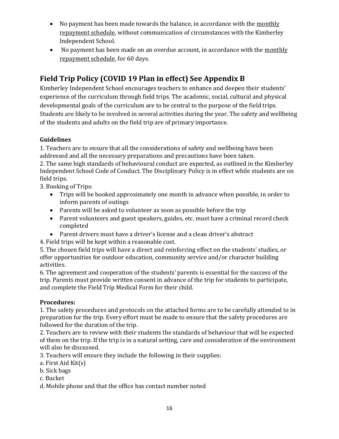- No payment has been made towards the balance, in accordance with the monthly repayment schedule, without communication of circumstances with the Kimberley Independent School.
- No payment has been made on an overdue account, in accordance with the monthly repayment schedule, for 60 days.

# **Field Trip Policy (COVID 19 Plan in effect) See Appendix B**

Kimberley Independent School encourages teachers to enhance and deepen their students' experience of the curriculum through field trips. The academic, social, cultural and physical developmental goals of the curriculum are to be central to the purpose of the field trips. Students are likely to be involved in several activities during the year. The safety and wellbeing of the students and adults on the field trip are of primary importance.

### **Guidelines**

1. Teachers are to ensure that all the considerations of safety and wellbeing have been addressed and all the necessary preparations and precautions have been taken.

2. The same high standards of behavioural conduct are expected, as outlined in the Kimberley Independent School Code of Conduct. The Disciplinary Policy is in effect while students are on field trips.

3. Booking of Trips:

- Trips will be booked approximately one month in advance when possible, in order to inform parents of outings
- Parents will be asked to volunteer as soon as possible before the trip
- Parent volunteers and guest speakers, guides, etc. must have a criminal record check completed
- Parent drivers must have a driver's license and a clean driver's abstract

4. Field trips will be kept within a reasonable cost.

5. The chosen field trips will have a direct and reinforcing effect on the students' studies, or offer opportunities for outdoor education, community service and/or character building activities.

6. The agreement and cooperation of the students' parents is essential for the success of the trip. Parents must provide written consent in advance of the trip for students to participate, and complete the Field Trip Medical Form for their child.

### **Procedures:**

1. The safety procedures and protocols on the attached forms are to be carefully attended to in preparation for the trip. Every effort must be made to ensure that the safety procedures are followed for the duration of the trip.

2. Teachers are to review with their students the standards of behaviour that will be expected of them on the trip. If the trip is in a natural setting, care and consideration of the environment will also be discussed.

3. Teachers will ensure they include the following in their supplies:

- a. First Aid Kit(s)
- b. Sick bags
- c. Bucket
- d. Mobile phone and that the office has contact number noted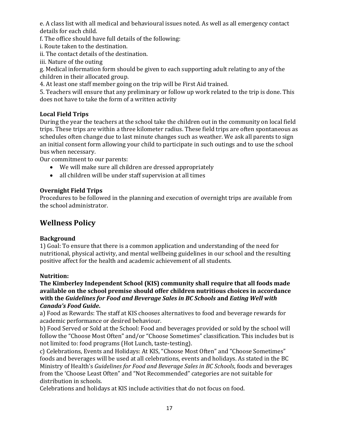e. A class list with all medical and behavioural issues noted. As well as all emergency contact details for each child.

f. The office should have full details of the following:

i. Route taken to the destination.

ii. The contact details of the destination.

iii. Nature of the outing

g. Medical information form should be given to each supporting adult relating to any of the children in their allocated group.

4. At least one staff member going on the trip will be First Aid trained.

5. Teachers will ensure that any preliminary or follow up work related to the trip is done. This does not have to take the form of a written activity

### **Local Field Trips**

During the year the teachers at the school take the children out in the community on local field trips. These trips are within a three kilometer radius. These field trips are often spontaneous as schedules often change due to last minute changes such as weather. We ask all parents to sign an initial consent form allowing your child to participate in such outings and to use the school bus when necessary.

Our commitment to our parents:

- We will make sure all children are dressed appropriately
- all children will be under staff supervision at all times

### **Overnight Field Trips**

Procedures to be followed in the planning and execution of overnight trips are available from the school administrator.

### **Wellness Policy**

### **Background**

1) Goal: To ensure that there is a common application and understanding of the need for nutritional, physical activity, and mental wellbeing guidelines in our school and the resulting positive affect for the health and academic achievement of all students.

### **Nutrition:**

**The Kimberley Independent School (KIS) community shall require that all foods made available on the school premise should offer children nutritious choices in accordance with the** *Guidelines for Food and Beverage Sales in BC Schools* **and** *Eating Well with Canada's Food Guide***.** 

a) Food as Rewards: The staff at KIS chooses alternatives to food and beverage rewards for academic performance or desired behaviour.

b) Food Served or Sold at the School: Food and beverages provided or sold by the school will follow the "Choose Most Often" and/or "Choose Sometimes" classification. This includes but is not limited to: food programs (Hot Lunch, taste-testing).

c) Celebrations, Events and Holidays: At KIS, "Choose Most Often" and "Choose Sometimes" foods and beverages will be used at all celebrations, events and holidays. As stated in the BC Ministry of Health's *Guidelines for Food and Beverage Sales in BC Schools*, foods and beverages from the 'Choose Least Often" and "Not Recommended" categories are not suitable for distribution in schools.

Celebrations and holidays at KIS include activities that do not focus on food.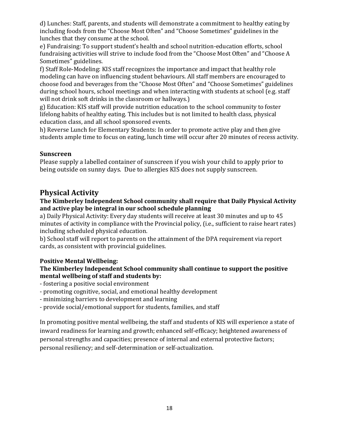d) Lunches: Staff, parents, and students will demonstrate a commitment to healthy eating by including foods from the "Choose Most Often" and "Choose Sometimes" guidelines in the lunches that they consume at the school.

e) Fundraising: To support student's health and school nutrition-education efforts, school fundraising activities will strive to include food from the "Choose Most Often" and "Choose A Sometimes" guidelines.

f) Staff Role-Modeling: KIS staff recognizes the importance and impact that healthy role modeling can have on influencing student behaviours. All staff members are encouraged to choose food and beverages from the "Choose Most Often" and "Choose Sometimes" guidelines during school hours, school meetings and when interacting with students at school (e.g. staff will not drink soft drinks in the classroom or hallways.)

g) Education: KIS staff will provide nutrition education to the school community to foster lifelong habits of healthy eating. This includes but is not limited to health class, physical education class, and all school sponsored events.

h) Reverse Lunch for Elementary Students: In order to promote active play and then give students ample time to focus on eating, lunch time will occur after 20 minutes of recess activity.

### **Sunscreen**

Please supply a labelled container of sunscreen if you wish your child to apply prior to being outside on sunny days. Due to allergies KIS does not supply sunscreen.

### **Physical Activity**

#### **The Kimberley Independent School community shall require that Daily Physical Activity and active play be integral in our school schedule planning**

a) Daily Physical Activity: Every day students will receive at least 30 minutes and up to 45 minutes of activity in compliance with the Provincial policy, (i.e., sufficient to raise heart rates) including scheduled physical education.

b) School staff will report to parents on the attainment of the DPA requirement via report cards, as consistent with provincial guidelines.

### **Positive Mental Wellbeing:**

### **The Kimberley Independent School community shall continue to support the positive mental wellbeing of staff and students by:**

- fostering a positive social environment
- promoting cognitive, social, and emotional healthy development
- minimizing barriers to development and learning
- provide social/emotional support for students, families, and staff

In promoting positive mental wellbeing, the staff and students of KIS will experience a state of inward readiness for learning and growth; enhanced self-efficacy; heightened awareness of personal strengths and capacities; presence of internal and external protective factors; personal resiliency; and self-determination or self-actualization.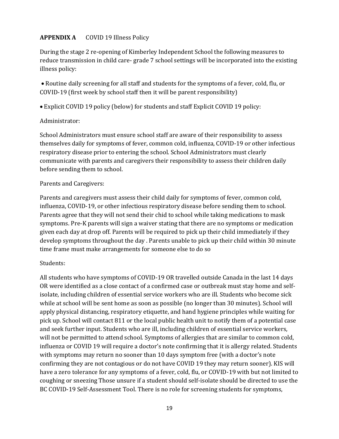### **APPENDIX A** COVID 19 Illness Policy

During the stage 2 re-opening of Kimberley Independent School the following measures to reduce transmission in child care- grade 7 school settings will be incorporated into the existing illness policy:

 Routine daily screening for all staff and students for the symptoms of a fever, cold, flu, or COVID-19 (first week by school staff then it will be parent responsibility)

Explicit COVID 19 policy (below) for students and staff Explicit COVID 19 policy:

#### Administrator:

School Administrators must ensure school staff are aware of their responsibility to assess themselves daily for symptoms of fever, common cold, influenza, COVID-19 or other infectious respiratory disease prior to entering the school. School Administrators must clearly communicate with parents and caregivers their responsibility to assess their children daily before sending them to school.

#### Parents and Caregivers:

Parents and caregivers must assess their child daily for symptoms of fever, common cold, influenza, COVID-19, or other infectious respiratory disease before sending them to school. Parents agree that they will not send their chid to school while taking medications to mask symptoms. Pre-K parents will sign a waiver stating that there are no symptoms or medication given each day at drop off. Parents will be required to pick up their child immediately if they develop symptoms throughout the day . Parents unable to pick up their child within 30 minute time frame must make arrangements for someone else to do so

### Students:

All students who have symptoms of COVID-19 OR travelled outside Canada in the last 14 days OR were identified as a close contact of a confirmed case or outbreak must stay home and selfisolate, including children of essential service workers who are ill. Students who become sick while at school will be sent home as soon as possible (no longer than 30 minutes). School will apply physical distancing, respiratory etiquette, and hand hygiene principles while waiting for pick up. School will contact 811 or the local public health unit to notify them of a potential case and seek further input. Students who are ill, including children of essential service workers, will not be permitted to attend school. Symptoms of allergies that are similar to common cold, influenza or COVID 19 will require a doctor's note confirming that it is allergy related. Students with symptoms may return no sooner than 10 days symptom free (with a doctor's note confirming they are not contagious or do not have COVID 19 they may return sooner). KIS will have a zero tolerance for any symptoms of a fever, cold, flu, or COVID-19 with but not limited to coughing or sneezing Those unsure if a student should self-isolate should be directed to use the BC COVID-19 Self-Assessment Tool. There is no role for screening students for symptoms,